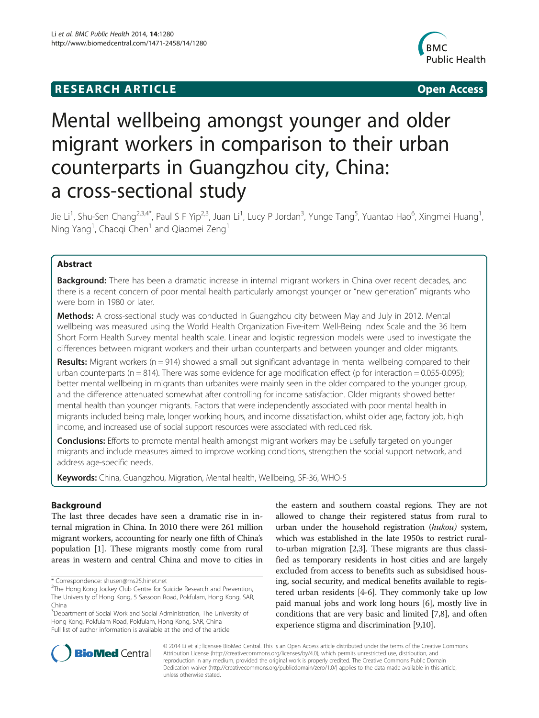## **RESEARCH ARTICLE Example 2014 12:30 The SEAR CHIPS 2014 12:30 The Open Access**



# Mental wellbeing amongst younger and older migrant workers in comparison to their urban counterparts in Guangzhou city, China: a cross-sectional study

Jie Li<sup>1</sup>, Shu-Sen Chang<sup>2,3,4\*</sup>, Paul S F Yip<sup>2,3</sup>, Juan Li<sup>1</sup>, Lucy P Jordan<sup>3</sup>, Yunge Tang<sup>5</sup>, Yuantao Hao<sup>6</sup>, Xingmei Huang<sup>1</sup> , Ning Yang<sup>1</sup>, Chaoqi Chen $^{\rm 1}$  and Qiaomei Zeng $^{\rm 1}$ 

## Abstract

Background: There has been a dramatic increase in internal migrant workers in China over recent decades, and there is a recent concern of poor mental health particularly amongst younger or "new generation" migrants who were born in 1980 or later.

Methods: A cross-sectional study was conducted in Guangzhou city between May and July in 2012. Mental wellbeing was measured using the World Health Organization Five-item Well-Being Index Scale and the 36 Item Short Form Health Survey mental health scale. Linear and logistic regression models were used to investigate the differences between migrant workers and their urban counterparts and between younger and older migrants.

Results: Migrant workers ( $n = 914$ ) showed a small but significant advantage in mental wellbeing compared to their urban counterparts ( $n = 814$ ). There was some evidence for age modification effect ( $p$  for interaction = 0.055-0.095); better mental wellbeing in migrants than urbanites were mainly seen in the older compared to the younger group, and the difference attenuated somewhat after controlling for income satisfaction. Older migrants showed better mental health than younger migrants. Factors that were independently associated with poor mental health in migrants included being male, longer working hours, and income dissatisfaction, whilst older age, factory job, high income, and increased use of social support resources were associated with reduced risk.

**Conclusions:** Efforts to promote mental health amongst migrant workers may be usefully targeted on younger migrants and include measures aimed to improve working conditions, strengthen the social support network, and address age-specific needs.

Keywords: China, Guangzhou, Migration, Mental health, Wellbeing, SF-36, WHO-5

## Background

The last three decades have seen a dramatic rise in internal migration in China. In 2010 there were 261 million migrant workers, accounting for nearly one fifth of China's population [\[1](#page-8-0)]. These migrants mostly come from rural areas in western and central China and move to cities in

<sup>3</sup>Department of Social Work and Social Administration, The University of Hong Kong, Pokfulam Road, Pokfulam, Hong Kong, SAR, China Full list of author information is available at the end of the article

the eastern and southern coastal regions. They are not allowed to change their registered status from rural to urban under the household registration (hukou) system, which was established in the late 1950s to restrict ruralto-urban migration [\[2,3](#page-8-0)]. These migrants are thus classified as temporary residents in host cities and are largely excluded from access to benefits such as subsidised housing, social security, and medical benefits available to registered urban residents [\[4-6](#page-8-0)]. They commonly take up low paid manual jobs and work long hours [\[6\]](#page-8-0), mostly live in conditions that are very basic and limited [[7,8\]](#page-8-0), and often experience stigma and discrimination [[9,10](#page-8-0)].



© 2014 Li et al.; licensee BioMed Central. This is an Open Access article distributed under the terms of the Creative Commons Attribution License (<http://creativecommons.org/licenses/by/4.0>), which permits unrestricted use, distribution, and reproduction in any medium, provided the original work is properly credited. The Creative Commons Public Domain Dedication waiver [\(http://creativecommons.org/publicdomain/zero/1.0/](http://creativecommons.org/publicdomain/zero/1.0/)) applies to the data made available in this article, unless otherwise stated.

<sup>\*</sup> Correspondence: [shusen@ms25.hinet.net](mailto:shusen@ms25.hinet.net) <sup>2</sup>

<sup>&</sup>lt;sup>2</sup>The Hong Kong Jockey Club Centre for Suicide Research and Prevention, The University of Hong Kong, 5 Sassoon Road, Pokfulam, Hong Kong, SAR, China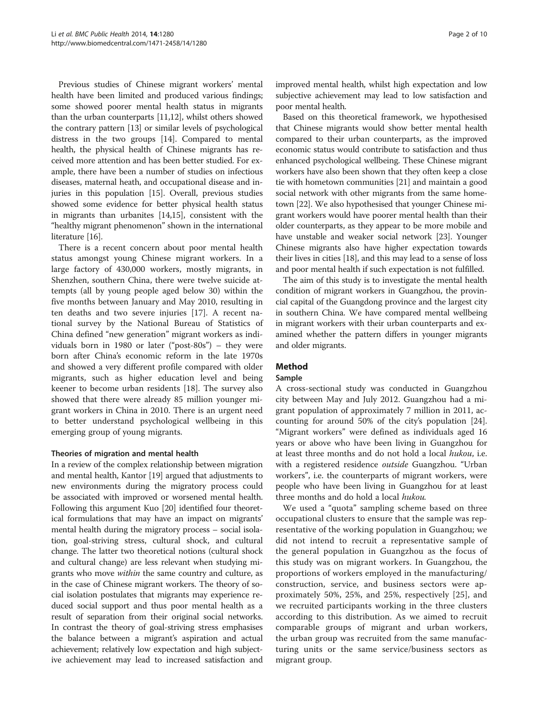Previous studies of Chinese migrant workers' mental health have been limited and produced various findings; some showed poorer mental health status in migrants than the urban counterparts [\[11,12\]](#page-8-0), whilst others showed the contrary pattern [\[13\]](#page-9-0) or similar levels of psychological distress in the two groups [[14](#page-9-0)]. Compared to mental health, the physical health of Chinese migrants has received more attention and has been better studied. For example, there have been a number of studies on infectious diseases, maternal heath, and occupational disease and injuries in this population [[15](#page-9-0)]. Overall, previous studies showed some evidence for better physical health status in migrants than urbanites [\[14,15\]](#page-9-0), consistent with the "healthy migrant phenomenon" shown in the international literature [[16](#page-9-0)].

There is a recent concern about poor mental health status amongst young Chinese migrant workers. In a large factory of 430,000 workers, mostly migrants, in Shenzhen, southern China, there were twelve suicide attempts (all by young people aged below 30) within the five months between January and May 2010, resulting in ten deaths and two severe injuries [[17](#page-9-0)]. A recent national survey by the National Bureau of Statistics of China defined "new generation" migrant workers as individuals born in 1980 or later ("post-80s") – they were born after China's economic reform in the late 1970s and showed a very different profile compared with older migrants, such as higher education level and being keener to become urban residents [[18\]](#page-9-0). The survey also showed that there were already 85 million younger migrant workers in China in 2010. There is an urgent need to better understand psychological wellbeing in this emerging group of young migrants.

### Theories of migration and mental health

In a review of the complex relationship between migration and mental health, Kantor [\[19](#page-9-0)] argued that adjustments to new environments during the migratory process could be associated with improved or worsened mental health. Following this argument Kuo [[20\]](#page-9-0) identified four theoretical formulations that may have an impact on migrants' mental health during the migratory process – social isolation, goal-striving stress, cultural shock, and cultural change. The latter two theoretical notions (cultural shock and cultural change) are less relevant when studying migrants who move within the same country and culture, as in the case of Chinese migrant workers. The theory of social isolation postulates that migrants may experience reduced social support and thus poor mental health as a result of separation from their original social networks. In contrast the theory of goal-striving stress emphasises the balance between a migrant's aspiration and actual achievement; relatively low expectation and high subjective achievement may lead to increased satisfaction and improved mental health, whilst high expectation and low subjective achievement may lead to low satisfaction and poor mental health.

Based on this theoretical framework, we hypothesised that Chinese migrants would show better mental health compared to their urban counterparts, as the improved economic status would contribute to satisfaction and thus enhanced psychological wellbeing. These Chinese migrant workers have also been shown that they often keep a close tie with hometown communities [[21](#page-9-0)] and maintain a good social network with other migrants from the same hometown [[22](#page-9-0)]. We also hypothesised that younger Chinese migrant workers would have poorer mental health than their older counterparts, as they appear to be more mobile and have unstable and weaker social network [\[23\]](#page-9-0). Younger Chinese migrants also have higher expectation towards their lives in cities [\[18\]](#page-9-0), and this may lead to a sense of loss and poor mental health if such expectation is not fulfilled.

The aim of this study is to investigate the mental health condition of migrant workers in Guangzhou, the provincial capital of the Guangdong province and the largest city in southern China. We have compared mental wellbeing in migrant workers with their urban counterparts and examined whether the pattern differs in younger migrants and older migrants.

## Method

#### Sample

A cross-sectional study was conducted in Guangzhou city between May and July 2012. Guangzhou had a migrant population of approximately 7 million in 2011, accounting for around 50% of the city's population [\[24](#page-9-0)]. "Migrant workers" were defined as individuals aged 16 years or above who have been living in Guangzhou for at least three months and do not hold a local hukou, i.e. with a registered residence outside Guangzhou. "Urban workers", i.e. the counterparts of migrant workers, were people who have been living in Guangzhou for at least three months and do hold a local hukou.

We used a "quota" sampling scheme based on three occupational clusters to ensure that the sample was representative of the working population in Guangzhou; we did not intend to recruit a representative sample of the general population in Guangzhou as the focus of this study was on migrant workers. In Guangzhou, the proportions of workers employed in the manufacturing/ construction, service, and business sectors were approximately 50%, 25%, and 25%, respectively [[25\]](#page-9-0), and we recruited participants working in the three clusters according to this distribution. As we aimed to recruit comparable groups of migrant and urban workers, the urban group was recruited from the same manufacturing units or the same service/business sectors as migrant group.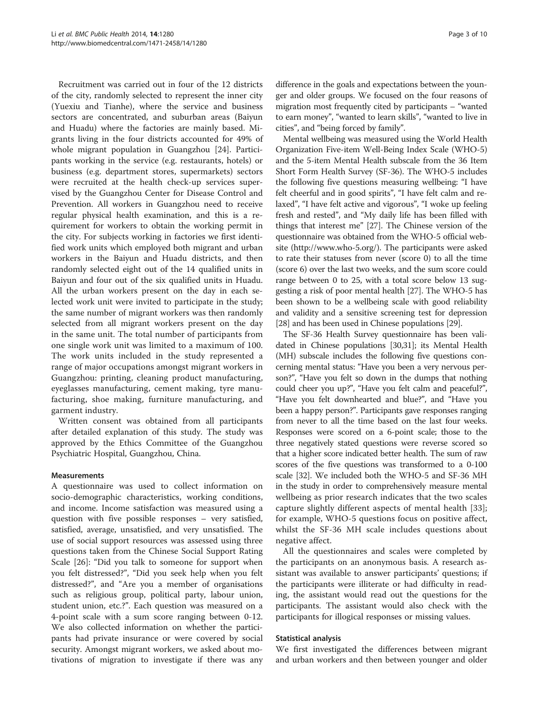Recruitment was carried out in four of the 12 districts of the city, randomly selected to represent the inner city (Yuexiu and Tianhe), where the service and business sectors are concentrated, and suburban areas (Baiyun and Huadu) where the factories are mainly based. Migrants living in the four districts accounted for 49% of whole migrant population in Guangzhou [[24](#page-9-0)]. Participants working in the service (e.g. restaurants, hotels) or business (e.g. department stores, supermarkets) sectors were recruited at the health check-up services supervised by the Guangzhou Center for Disease Control and Prevention. All workers in Guangzhou need to receive regular physical health examination, and this is a requirement for workers to obtain the working permit in the city. For subjects working in factories we first identified work units which employed both migrant and urban workers in the Baiyun and Huadu districts, and then randomly selected eight out of the 14 qualified units in Baiyun and four out of the six qualified units in Huadu. All the urban workers present on the day in each selected work unit were invited to participate in the study; the same number of migrant workers was then randomly selected from all migrant workers present on the day in the same unit. The total number of participants from one single work unit was limited to a maximum of 100. The work units included in the study represented a range of major occupations amongst migrant workers in Guangzhou: printing, cleaning product manufacturing, eyeglasses manufacturing, cement making, tyre manufacturing, shoe making, furniture manufacturing, and garment industry.

Written consent was obtained from all participants after detailed explanation of this study. The study was approved by the Ethics Committee of the Guangzhou Psychiatric Hospital, Guangzhou, China.

#### Measurements

A questionnaire was used to collect information on socio-demographic characteristics, working conditions, and income. Income satisfaction was measured using a question with five possible responses – very satisfied, satisfied, average, unsatisfied, and very unsatisfied. The use of social support resources was assessed using three questions taken from the Chinese Social Support Rating Scale [[26\]](#page-9-0): "Did you talk to someone for support when you felt distressed?", "Did you seek help when you felt distressed?", and "Are you a member of organisations such as religious group, political party, labour union, student union, etc.?". Each question was measured on a 4-point scale with a sum score ranging between 0-12. We also collected information on whether the participants had private insurance or were covered by social security. Amongst migrant workers, we asked about motivations of migration to investigate if there was any

difference in the goals and expectations between the younger and older groups. We focused on the four reasons of migration most frequently cited by participants – "wanted to earn money", "wanted to learn skills", "wanted to live in cities", and "being forced by family".

Mental wellbeing was measured using the World Health Organization Five-item Well-Being Index Scale (WHO-5) and the 5-item Mental Health subscale from the 36 Item Short Form Health Survey (SF-36). The WHO-5 includes the following five questions measuring wellbeing: "I have felt cheerful and in good spirits", "I have felt calm and relaxed", "I have felt active and vigorous", "I woke up feeling fresh and rested", and "My daily life has been filled with things that interest me" [\[27\]](#page-9-0). The Chinese version of the questionnaire was obtained from the WHO-5 official website (<http://www.who-5.org/>). The participants were asked to rate their statuses from never (score 0) to all the time (score 6) over the last two weeks, and the sum score could range between 0 to 25, with a total score below 13 suggesting a risk of poor mental health [\[27\]](#page-9-0). The WHO-5 has been shown to be a wellbeing scale with good reliability and validity and a sensitive screening test for depression [[28](#page-9-0)] and has been used in Chinese populations [\[29\]](#page-9-0).

The SF-36 Health Survey questionnaire has been validated in Chinese populations [\[30,31](#page-9-0)]; its Mental Health (MH) subscale includes the following five questions concerning mental status: "Have you been a very nervous person?", "Have you felt so down in the dumps that nothing could cheer you up?", "Have you felt calm and peaceful?", "Have you felt downhearted and blue?", and "Have you been a happy person?". Participants gave responses ranging from never to all the time based on the last four weeks. Responses were scored on a 6-point scale; those to the three negatively stated questions were reverse scored so that a higher score indicated better health. The sum of raw scores of the five questions was transformed to a 0-100 scale [\[32\]](#page-9-0). We included both the WHO-5 and SF-36 MH in the study in order to comprehensively measure mental wellbeing as prior research indicates that the two scales capture slightly different aspects of mental health [\[33](#page-9-0)]; for example, WHO-5 questions focus on positive affect, whilst the SF-36 MH scale includes questions about negative affect.

All the questionnaires and scales were completed by the participants on an anonymous basis. A research assistant was available to answer participants' questions; if the participants were illiterate or had difficulty in reading, the assistant would read out the questions for the participants. The assistant would also check with the participants for illogical responses or missing values.

#### Statistical analysis

We first investigated the differences between migrant and urban workers and then between younger and older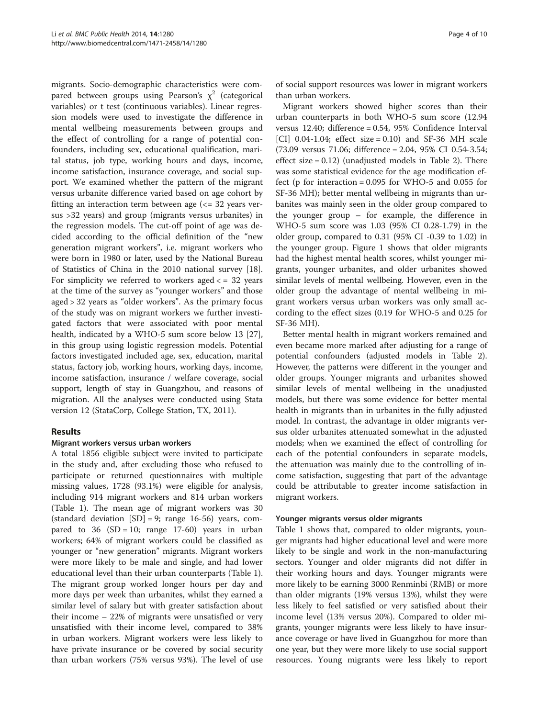migrants. Socio-demographic characteristics were compared between groups using Pearson's  $\chi^2$  (categorical variables) or t test (continuous variables). Linear regression models were used to investigate the difference in mental wellbeing measurements between groups and the effect of controlling for a range of potential confounders, including sex, educational qualification, marital status, job type, working hours and days, income, income satisfaction, insurance coverage, and social support. We examined whether the pattern of the migrant versus urbanite difference varied based on age cohort by fitting an interaction term between age  $\ll$  = 32 years versus >32 years) and group (migrants versus urbanites) in the regression models. The cut-off point of age was decided according to the official definition of the "new generation migrant workers", i.e. migrant workers who were born in 1980 or later, used by the National Bureau of Statistics of China in the 2010 national survey [\[18](#page-9-0)]. For simplicity we referred to workers aged  $\lt$  = 32 years at the time of the survey as "younger workers" and those aged > 32 years as "older workers". As the primary focus of the study was on migrant workers we further investigated factors that were associated with poor mental health, indicated by a WHO-5 sum score below 13 [\[27](#page-9-0)], in this group using logistic regression models. Potential factors investigated included age, sex, education, marital status, factory job, working hours, working days, income, income satisfaction, insurance / welfare coverage, social support, length of stay in Guangzhou, and reasons of migration. All the analyses were conducted using Stata version 12 (StataCorp, College Station, TX, 2011).

## Results

#### Migrant workers versus urban workers

A total 1856 eligible subject were invited to participate in the study and, after excluding those who refused to participate or returned questionnaires with multiple missing values, 1728 (93.1%) were eligible for analysis, including 914 migrant workers and 814 urban workers (Table [1](#page-4-0)). The mean age of migrant workers was 30 (standard deviation  $[SD] = 9$ ; range 16-56) years, compared to  $36$  (SD = 10; range 17-60) years in urban workers; 64% of migrant workers could be classified as younger or "new generation" migrants. Migrant workers were more likely to be male and single, and had lower educational level than their urban counterparts (Table [1](#page-4-0)). The migrant group worked longer hours per day and more days per week than urbanites, whilst they earned a similar level of salary but with greater satisfaction about their income – 22% of migrants were unsatisfied or very unsatisfied with their income level, compared to 38% in urban workers. Migrant workers were less likely to have private insurance or be covered by social security than urban workers (75% versus 93%). The level of use

of social support resources was lower in migrant workers than urban workers.

Migrant workers showed higher scores than their urban counterparts in both WHO-5 sum score (12.94 versus 12.40; difference = 0.54, 95% Confidence Interval [CI]  $0.04-1.04$ ; effect size = 0.10) and SF-36 MH scale (73.09 versus 71.06; difference = 2.04, 95% CI 0.54-3.54; effect size = 0.12) (unadjusted models in Table [2](#page-5-0)). There was some statistical evidence for the age modification effect (p for interaction =  $0.095$  for WHO-5 and  $0.055$  for SF-36 MH); better mental wellbeing in migrants than urbanites was mainly seen in the older group compared to the younger group – for example, the difference in WHO-5 sum score was 1.03 (95% CI 0.28-1.79) in the older group, compared to 0.31 (95% CI -0.39 to 1.02) in the younger group. Figure [1](#page-6-0) shows that older migrants had the highest mental health scores, whilst younger migrants, younger urbanites, and older urbanites showed similar levels of mental wellbeing. However, even in the older group the advantage of mental wellbeing in migrant workers versus urban workers was only small according to the effect sizes (0.19 for WHO-5 and 0.25 for SF-36 MH).

Better mental health in migrant workers remained and even became more marked after adjusting for a range of potential confounders (adjusted models in Table [2](#page-5-0)). However, the patterns were different in the younger and older groups. Younger migrants and urbanites showed similar levels of mental wellbeing in the unadjusted models, but there was some evidence for better mental health in migrants than in urbanites in the fully adjusted model. In contrast, the advantage in older migrants versus older urbanites attenuated somewhat in the adjusted models; when we examined the effect of controlling for each of the potential confounders in separate models, the attenuation was mainly due to the controlling of income satisfaction, suggesting that part of the advantage could be attributable to greater income satisfaction in migrant workers.

#### Younger migrants versus older migrants

Table [1](#page-4-0) shows that, compared to older migrants, younger migrants had higher educational level and were more likely to be single and work in the non-manufacturing sectors. Younger and older migrants did not differ in their working hours and days. Younger migrants were more likely to be earning 3000 Renminbi (RMB) or more than older migrants (19% versus 13%), whilst they were less likely to feel satisfied or very satisfied about their income level (13% versus 20%). Compared to older migrants, younger migrants were less likely to have insurance coverage or have lived in Guangzhou for more than one year, but they were more likely to use social support resources. Young migrants were less likely to report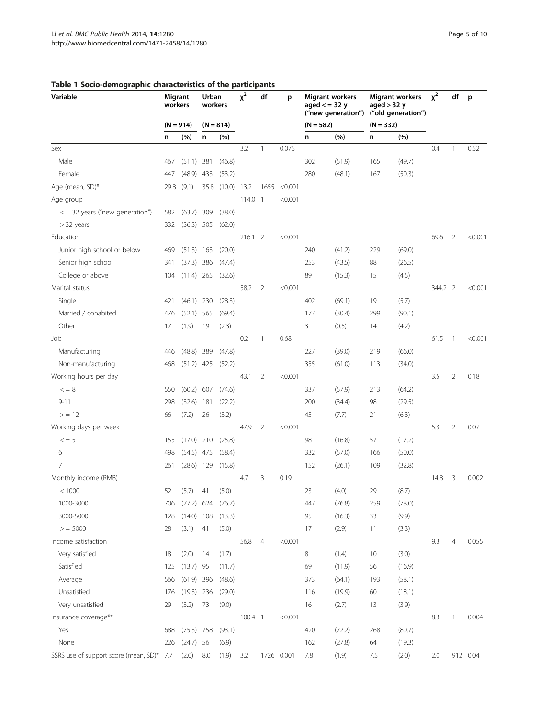| Variable                                  |             | Migrant<br>workers |             | Urban<br>workers |           | df             | p            | <b>Migrant workers</b><br>aged $\lt$ = 32 y<br>("new generation") |        | <b>Migrant workers</b><br>aged > 32 y<br>("old generation") |        | $x^2$   | df             | p        |
|-------------------------------------------|-------------|--------------------|-------------|------------------|-----------|----------------|--------------|-------------------------------------------------------------------|--------|-------------------------------------------------------------|--------|---------|----------------|----------|
|                                           | $(N = 914)$ |                    | $(N = 814)$ |                  |           |                |              | $(N = 582)$                                                       |        | $(N = 332)$                                                 |        |         |                |          |
|                                           | n           | (%)                | n           | (%)              |           |                |              | n                                                                 | (%)    | n                                                           | (%)    |         |                |          |
| Sex                                       |             |                    |             |                  | 3.2       | $\mathbf{1}$   | 0.075        |                                                                   |        |                                                             |        | 0.4     | 1              | 0.52     |
| Male                                      | 467         | (51.1)             | 381         | (46.8)           |           |                |              | 302                                                               | (51.9) | 165                                                         | (49.7) |         |                |          |
| Female                                    | 447         | (48.9)             | 433         | (53.2)           |           |                |              | 280                                                               | (48.1) | 167                                                         | (50.3) |         |                |          |
| Age (mean, SD)*                           | 29.8        | (9.1)              | 35.8        | (10.0)           | 13.2      |                | 1655 < 0.001 |                                                                   |        |                                                             |        |         |                |          |
| Age group                                 |             |                    |             |                  | $114.0$ 1 |                | < 0.001      |                                                                   |        |                                                             |        |         |                |          |
| $\epsilon$ = 32 years ("new generation")  | 582         | (63.7)             | 309         | (38.0)           |           |                |              |                                                                   |        |                                                             |        |         |                |          |
| $>$ 32 years                              | 332         | (36.3) 505         |             | (62.0)           |           |                |              |                                                                   |        |                                                             |        |         |                |          |
| Education                                 |             |                    |             |                  | 216.12    |                | < 0.001      |                                                                   |        |                                                             |        | 69.6    | 2              | < 0.001  |
| Junior high school or below               | 469         | $(51.3)$ 163       |             | (20.0)           |           |                |              | 240                                                               | (41.2) | 229                                                         | (69.0) |         |                |          |
| Senior high school                        | 341         | (37.3) 386         |             | (47.4)           |           |                |              | 253                                                               | (43.5) | 88                                                          | (26.5) |         |                |          |
| College or above                          | 104         | (11.4)             | 265         | (32.6)           |           |                |              | 89                                                                | (15.3) | 15                                                          | (4.5)  |         |                |          |
| Marital status                            |             |                    |             |                  | 58.2      | $\overline{2}$ | < 0.001      |                                                                   |        |                                                             |        | 344.2 2 |                | < 0.001  |
| Single                                    | 421         | $(46.1)$ 230       |             | (28.3)           |           |                |              | 402                                                               | (69.1) | 19                                                          | (5.7)  |         |                |          |
| Married / cohabited                       | 476         | $(52.1)$ 565       |             | (69.4)           |           |                |              | 177                                                               | (30.4) | 299                                                         | (90.1) |         |                |          |
| Other                                     | 17          | (1.9)              | 19          | (2.3)            |           |                |              | 3                                                                 | (0.5)  | 14                                                          | (4.2)  |         |                |          |
| Job                                       |             |                    |             |                  | 0.2       | $\mathbf{1}$   | 0.68         |                                                                   |        |                                                             |        | 61.5    | $\overline{1}$ | < 0.001  |
| Manufacturing                             | 446         | (48.8)             | 389         | (47.8)           |           |                |              | 227                                                               | (39.0) | 219                                                         | (66.0) |         |                |          |
| Non-manufacturing                         | 468         | $(51.2)$ 425       |             | (52.2)           |           |                |              | 355                                                               | (61.0) | 113                                                         | (34.0) |         |                |          |
| Working hours per day                     |             |                    |             |                  | 43.1      | $\overline{2}$ | < 0.001      |                                                                   |        |                                                             |        | 3.5     | $\overline{2}$ | 0.18     |
| $\lt$ = 8                                 | 550         | (60.2)             | 607         | (74.6)           |           |                |              | 337                                                               | (57.9) | 213                                                         | (64.2) |         |                |          |
| $9 - 11$                                  | 298         | (32.6)             | 181         | (22.2)           |           |                |              | 200                                                               | (34.4) | 98                                                          | (29.5) |         |                |          |
| >12                                       | 66          | (7.2)              | 26          | (3.2)            |           |                |              | 45                                                                | (7.7)  | 21                                                          | (6.3)  |         |                |          |
| Working days per week                     |             |                    |             |                  | 47.9      | $\overline{2}$ | < 0.001      |                                                                   |        |                                                             |        | 5.3     | $\overline{2}$ | 0.07     |
| $\leq$ = 5                                | 155         | (17.0)             | 210         | (25.8)           |           |                |              | 98                                                                | (16.8) | 57                                                          | (17.2) |         |                |          |
| 6                                         | 498         | $(54.5)$ 475       |             | (58.4)           |           |                |              | 332                                                               | (57.0) | 166                                                         | (50.0) |         |                |          |
| $\overline{7}$                            | 261         | $(28.6)$ 129       |             | (15.8)           |           |                |              | 152                                                               | (26.1) | 109                                                         | (32.8) |         |                |          |
| Monthly income (RMB)                      |             |                    |             |                  | 4.7       | 3              | 0.19         |                                                                   |        |                                                             |        | 14.8    | 3              | 0.002    |
| < 1000                                    | 52          | (5.7)              | 41          | (5.0)            |           |                |              | 23                                                                | (4.0)  | 29                                                          | (8.7)  |         |                |          |
| 1000-3000                                 | 706         | $(77.2)$ 624       |             | (76.7)           |           |                |              | 447                                                               | (76.8) | 259                                                         | (78.0) |         |                |          |
| 3000-5000                                 | 128         | $(14.0)$ 108       |             | (13.3)           |           |                |              | 95                                                                | (16.3) | 33                                                          | (9.9)  |         |                |          |
| > 5000                                    | 28          | (3.1)              | 41          | (5.0)            |           |                |              | 17                                                                | (2.9)  | 11                                                          | (3.3)  |         |                |          |
| Income satisfaction                       |             |                    |             |                  | 56.8      | $\overline{4}$ | < 0.001      |                                                                   |        |                                                             |        | 9.3     | 4              | 0.055    |
| Very satisfied                            | 18          | (2.0)              | 14          | (1.7)            |           |                |              | 8                                                                 | (1.4)  | 10                                                          | (3.0)  |         |                |          |
| Satisfied                                 | 125         | $(13.7)$ 95        |             | (11.7)           |           |                |              | 69                                                                | (11.9) | 56                                                          | (16.9) |         |                |          |
| Average                                   | 566         | $(61.9)$ 396       |             | (48.6)           |           |                |              | 373                                                               | (64.1) | 193                                                         | (58.1) |         |                |          |
| Unsatisfied                               | 176         | $(19.3)$ 236       |             | (29.0)           |           |                |              | 116                                                               | (19.9) | 60                                                          | (18.1) |         |                |          |
| Very unsatisfied                          | 29          | (3.2)              | 73          | (9.0)            |           |                |              | 16                                                                | (2.7)  | 13                                                          | (3.9)  |         |                |          |
| Insurance coverage**                      |             |                    |             |                  | 100.4 1   |                | < 0.001      |                                                                   |        |                                                             |        | 8.3     | 1              | 0.004    |
| Yes                                       | 688         | $(75.3)$ 758       |             | (93.1)           |           |                |              | 420                                                               | (72.2) | 268                                                         | (80.7) |         |                |          |
| None                                      | 226         | (24.7) 56          |             | (6.9)            |           |                |              | 162                                                               | (27.8) | 64                                                          | (19.3) |         |                |          |
| SSRS use of support score (mean, SD)* 7.7 |             | (2.0)              | 8.0         | (1.9)            | 3.2       |                | 1726 0.001   | 7.8                                                               | (1.9)  | 7.5                                                         | (2.0)  | 2.0     |                | 912 0.04 |
|                                           |             |                    |             |                  |           |                |              |                                                                   |        |                                                             |        |         |                |          |

## <span id="page-4-0"></span>Table 1 Socio-demographic characteristics of the participants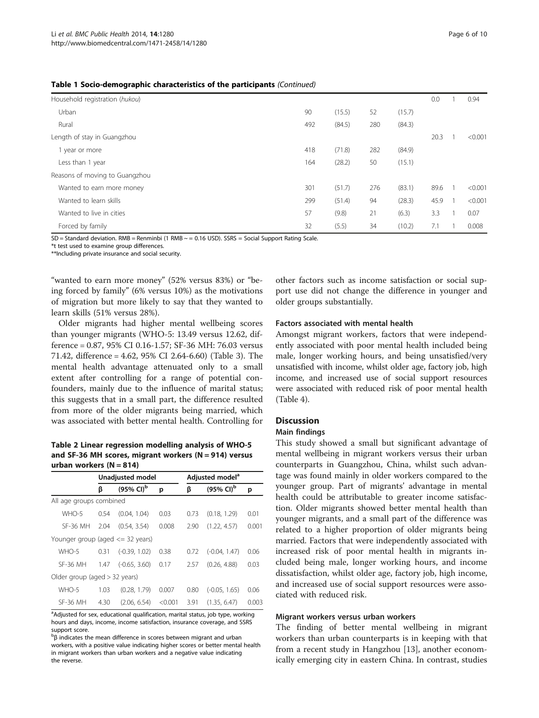#### <span id="page-5-0"></span>Table 1 Socio-demographic characteristics of the participants (Continued)

| Household registration (hukou) |     |        |     |        | 0.0  | 0.94    |
|--------------------------------|-----|--------|-----|--------|------|---------|
| Urban                          | 90  | (15.5) | 52  | (15.7) |      |         |
| Rural                          | 492 | (84.5) | 280 | (84.3) |      |         |
| Length of stay in Guangzhou    |     |        |     |        | 20.3 | < 0.001 |
| 1 year or more                 | 418 | (71.8) | 282 | (84.9) |      |         |
| Less than 1 year               | 164 | (28.2) | 50  | (15.1) |      |         |
| Reasons of moving to Guangzhou |     |        |     |        |      |         |
| Wanted to earn more money      | 301 | (51.7) | 276 | (83.1) | 89.6 | < 0.001 |
| Wanted to learn skills         | 299 | (51.4) | 94  | (28.3) | 45.9 | < 0.001 |
| Wanted to live in cities       | 57  | (9.8)  | 21  | (6.3)  | 3.3  | 0.07    |
| Forced by family               | 32  | (5.5)  | 34  | (10.2) | 7.1  | 0.008   |
|                                |     |        |     |        |      |         |

SD = Standard deviation. RMB = Renminbi (1 RMB ~ = 0.16 USD). SSRS = Social Support Rating Scale.

\*t test used to examine group differences.

\*\*Including private insurance and social security.

"wanted to earn more money" (52% versus 83%) or "being forced by family" (6% versus 10%) as the motivations of migration but more likely to say that they wanted to learn skills (51% versus 28%).

Older migrants had higher mental wellbeing scores than younger migrants (WHO-5: 13.49 versus 12.62, difference = 0.87, 95% CI 0.16-1.57; SF-36 MH: 76.03 versus 71.42, difference = 4.62, 95% CI 2.64-6.60) (Table [3\)](#page-6-0). The mental health advantage attenuated only to a small extent after controlling for a range of potential confounders, mainly due to the influence of marital status; this suggests that in a small part, the difference resulted from more of the older migrants being married, which was associated with better mental health. Controlling for

Table 2 Linear regression modelling analysis of WHO-5 and SF-36 MH scores, migrant workers ( $N = 914$ ) versus urban workers  $(N = 814)$ 

|                                      |      | <b>Unadjusted model</b>          |         |      | Adjusted model <sup>a</sup>      |       |  |  |  |
|--------------------------------------|------|----------------------------------|---------|------|----------------------------------|-------|--|--|--|
|                                      | ß    | $(95\% \, \text{Cl})^{\text{b}}$ | p       | ß    | $(95\% \; \text{Cl})^{\text{b}}$ | p     |  |  |  |
| All age groups combined              |      |                                  |         |      |                                  |       |  |  |  |
| WHO-5                                | 0.54 | (0.04, 1.04)                     | 0.03    | 0.73 | (0.18, 1.29)                     | 0.01  |  |  |  |
| SF-36 MH                             | 2.04 | (0.54, 3.54)                     | 0.008   | 2.90 | (1.22, 4.57)                     | 0.001 |  |  |  |
| Younger group (aged $\leq$ 32 years) |      |                                  |         |      |                                  |       |  |  |  |
| WHO-5                                | 0.31 | $(-0.39, 1.02)$                  | 0.38    | 0.72 | $(-0.04, 1.47)$                  | 0.06  |  |  |  |
| <b>SF-36 MH</b>                      | 1.47 | $(-0.65, 3.60)$                  | 0.17    | 2.57 | (0.26, 4.88)                     | 0.03  |  |  |  |
| Older group (aged $>$ 32 years)      |      |                                  |         |      |                                  |       |  |  |  |
| WHO-5                                | 1.03 | (0.28, 1.79)                     | 0.007   | 0.80 | $(-0.05, 1.65)$                  | 0.06  |  |  |  |
| <b>SF-36 MH</b>                      | 4.30 | (2.06, 6.54)                     | < 0.001 | 3.91 | (1.35, 6.47)                     | 0.003 |  |  |  |

<sup>a</sup>Adjusted for sex, educational qualification, marital status, job type, working hours and days, income, income satisfaction, insurance coverage, and SSRS support score.

 $\beta$  indicates the mean difference in scores between migrant and urban workers, with a positive value indicating higher scores or better mental health in migrant workers than urban workers and a negative value indicating the reverse.

other factors such as income satisfaction or social support use did not change the difference in younger and older groups substantially.

#### Factors associated with mental health

Amongst migrant workers, factors that were independently associated with poor mental health included being male, longer working hours, and being unsatisfied/very unsatisfied with income, whilst older age, factory job, high income, and increased use of social support resources were associated with reduced risk of poor mental health (Table [4](#page-7-0)).

## **Discussion**

## Main findings

This study showed a small but significant advantage of mental wellbeing in migrant workers versus their urban counterparts in Guangzhou, China, whilst such advantage was found mainly in older workers compared to the younger group. Part of migrants' advantage in mental health could be attributable to greater income satisfaction. Older migrants showed better mental health than younger migrants, and a small part of the difference was related to a higher proportion of older migrants being married. Factors that were independently associated with increased risk of poor mental health in migrants included being male, longer working hours, and income dissatisfaction, whilst older age, factory job, high income, and increased use of social support resources were associated with reduced risk.

#### Migrant workers versus urban workers

The finding of better mental wellbeing in migrant workers than urban counterparts is in keeping with that from a recent study in Hangzhou [\[13](#page-9-0)], another economically emerging city in eastern China. In contrast, studies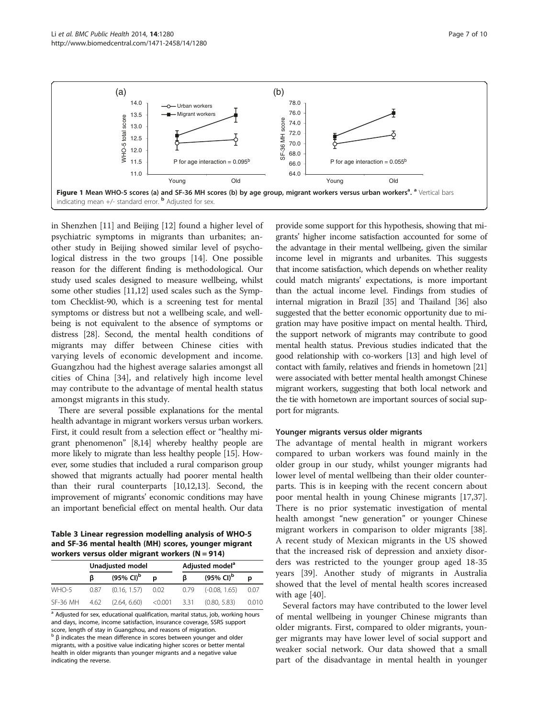<span id="page-6-0"></span>

in Shenzhen [\[11](#page-8-0)] and Beijing [[12](#page-8-0)] found a higher level of psychiatric symptoms in migrants than urbanites; another study in Beijing showed similar level of psychological distress in the two groups [\[14\]](#page-9-0). One possible reason for the different finding is methodological. Our study used scales designed to measure wellbeing, whilst some other studies [[11,12](#page-8-0)] used scales such as the Symptom Checklist-90, which is a screening test for mental symptoms or distress but not a wellbeing scale, and wellbeing is not equivalent to the absence of symptoms or distress [\[28\]](#page-9-0). Second, the mental health conditions of migrants may differ between Chinese cities with varying levels of economic development and income. Guangzhou had the highest average salaries amongst all cities of China [\[34](#page-9-0)], and relatively high income level may contribute to the advantage of mental health status amongst migrants in this study.

There are several possible explanations for the mental health advantage in migrant workers versus urban workers. First, it could result from a selection effect or "healthy migrant phenomenon" [\[8,](#page-8-0)[14](#page-9-0)] whereby healthy people are more likely to migrate than less healthy people [\[15\]](#page-9-0). However, some studies that included a rural comparison group showed that migrants actually had poorer mental health than their rural counterparts [[10,12,](#page-8-0)[13](#page-9-0)]. Second, the improvement of migrants' economic conditions may have an important beneficial effect on mental health. Our data

Table 3 Linear regression modelling analysis of WHO-5 and SF-36 mental health (MH) scores, younger migrant workers versus older migrant workers (N = 914)

| $\frac{1}{2}$ |      |                                  |   |                             |                                  |        |  |  |  |
|---------------|------|----------------------------------|---|-----------------------------|----------------------------------|--------|--|--|--|
|               |      | Unadjusted model                 |   | Adjusted model <sup>a</sup> |                                  |        |  |  |  |
|               | ß    | $(95\% \, \text{Cl})^{\text{b}}$ | D | ß                           | $(95\% \, \text{Cl})^{\text{b}}$ | D      |  |  |  |
| WHO-5         | 0.87 | $(0.16, 1.57)$ 0.02              |   | 0.79                        | $(-0.08, 1.65)$                  | - 0.07 |  |  |  |
| SF-36 MH      | 4.62 | $(2.64, 6.60)$ < 0.001 3.31      |   |                             | (0.80, 5.83)                     | 0.010  |  |  |  |

<sup>a</sup> Adjusted for sex, educational qualification, marital status, job, working hours and days, income, income satisfaction, insurance coverage, SSRS support score, length of stay in Guangzhou, and reasons of migration.

 $β$  indicates the mean difference in scores between younger and older migrants, with a positive value indicating higher scores or better mental health in older migrants than younger migrants and a negative value indicating the reverse.

provide some support for this hypothesis, showing that migrants' higher income satisfaction accounted for some of the advantage in their mental wellbeing, given the similar income level in migrants and urbanites. This suggests that income satisfaction, which depends on whether reality could match migrants' expectations, is more important than the actual income level. Findings from studies of internal migration in Brazil [\[35\]](#page-9-0) and Thailand [\[36](#page-9-0)] also suggested that the better economic opportunity due to migration may have positive impact on mental health. Third, the support network of migrants may contribute to good mental health status. Previous studies indicated that the good relationship with co-workers [[13](#page-9-0)] and high level of contact with family, relatives and friends in hometown [\[21](#page-9-0)] were associated with better mental health amongst Chinese migrant workers, suggesting that both local network and the tie with hometown are important sources of social support for migrants.

#### Younger migrants versus older migrants

The advantage of mental health in migrant workers compared to urban workers was found mainly in the older group in our study, whilst younger migrants had lower level of mental wellbeing than their older counterparts. This is in keeping with the recent concern about poor mental health in young Chinese migrants [\[17,37](#page-9-0)]. There is no prior systematic investigation of mental health amongst "new generation" or younger Chinese migrant workers in comparison to older migrants [\[38](#page-9-0)]. A recent study of Mexican migrants in the US showed that the increased risk of depression and anxiety disorders was restricted to the younger group aged 18-35 years [[39\]](#page-9-0). Another study of migrants in Australia showed that the level of mental health scores increased with age [\[40](#page-9-0)].

Several factors may have contributed to the lower level of mental wellbeing in younger Chinese migrants than older migrants. First, compared to older migrants, younger migrants may have lower level of social support and weaker social network. Our data showed that a small part of the disadvantage in mental health in younger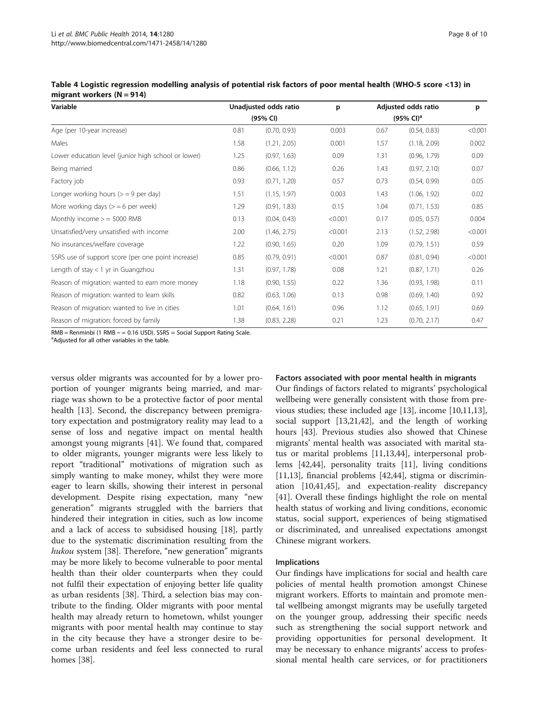| Variable                                            |      | Unadjusted odds ratio | p       | Adjusted odds ratio<br>$(95\% \text{ Cl})^a$ |              | p       |
|-----------------------------------------------------|------|-----------------------|---------|----------------------------------------------|--------------|---------|
|                                                     |      | (95% CI)              |         |                                              |              |         |
| Age (per 10-year increase)                          | 0.81 | (0.70, 0.93)          | 0.003   | 0.67                                         | (0.54, 0.83) | < 0.001 |
| Males                                               | 1.58 | (1.21, 2.05)          | 0.001   | 1.57                                         | (1.18, 2.09) | 0.002   |
| Lower education level (junior high school or lower) | 1.25 | (0.97, 1.63)          | 0.09    | 1.31                                         | (0.96, 1.79) | 0.09    |
| Being married                                       | 0.86 | (0.66, 1.12)          | 0.26    | 1.43                                         | (0.97, 2.10) | 0.07    |
| Factory job                                         | 0.93 | (0.71, 1.20)          | 0.57    | 0.73                                         | (0.54, 0.99) | 0.05    |
| Longer working hours $(>= 9$ per day)               | 1.51 | (1.15, 1.97)          | 0.003   | 1.43                                         | (1.06, 1.92) | 0.02    |
| More working days $(>= 6$ per week)                 | 1.29 | (0.91, 1.83)          | 0.15    | 1.04                                         | (0.71, 1.53) | 0.85    |
| Monthly income $>$ = 5000 RMB                       | 0.13 | (0.04, 0.43)          | < 0.001 | 0.17                                         | (0.05, 0.57) | 0.004   |
| Unsatisfied/very unsatisfied with income            | 2.00 | (1.46, 2.75)          | < 0.001 | 2.13                                         | (1.52, 2.98) | < 0.001 |
| No insurances/welfare coverage                      | 1.22 | (0.90, 1.65)          | 0.20    | 1.09                                         | (0.79, 1.51) | 0.59    |
| SSRS use of support score (per one point increase)  | 0.85 | (0.79, 0.91)          | < 0.001 | 0.87                                         | (0.81, 0.94) | < 0.001 |
| Length of stay $<$ 1 yr in Guangzhou                | 1.31 | (0.97, 1.78)          | 0.08    | 1.21                                         | (0.87, 1.71) | 0.26    |
| Reason of migration: wanted to earn more money      | 1.18 | (0.90, 1.55)          | 0.22    | 1.36                                         | (0.93, 1.98) | 0.11    |
| Reason of migration: wanted to learn skills         | 0.82 | (0.63, 1.06)          | 0.13    | 0.98                                         | (0.69, 1.40) | 0.92    |
| Reason of migration: wanted to live in cities       | 1.01 | (0.64, 1.61)          | 0.96    | 1.12                                         | (0.65, 1.91) | 0.69    |
| Reason of migration: forced by family               | 1.38 | (0.83, 2.28)          | 0.21    | 1.23                                         | (0.70, 2.17) | 0.47    |

<span id="page-7-0"></span>Table 4 Logistic regression modelling analysis of potential risk factors of poor mental health (WHO-5 score <13) in migrant workers  $(N = 914)$ 

 $RMB =$ Renminbi (1 RMB  $\sim$  = 0.16 USD). SSRS = Social Support Rating Scale.

<sup>a</sup>Adjusted for all other variables in the table.

versus older migrants was accounted for by a lower proportion of younger migrants being married, and marriage was shown to be a protective factor of poor mental health [[13\]](#page-9-0). Second, the discrepancy between premigratory expectation and postmigratory reality may lead to a sense of loss and negative impact on mental health amongst young migrants [\[41](#page-9-0)]. We found that, compared to older migrants, younger migrants were less likely to report "traditional" motivations of migration such as simply wanting to make money, whilst they were more eager to learn skills, showing their interest in personal development. Despite rising expectation, many "new generation" migrants struggled with the barriers that hindered their integration in cities, such as low income and a lack of access to subsidised housing [\[18](#page-9-0)], partly due to the systematic discrimination resulting from the hukou system [\[38](#page-9-0)]. Therefore, "new generation" migrants may be more likely to become vulnerable to poor mental health than their older counterparts when they could not fulfil their expectation of enjoying better life quality as urban residents [\[38](#page-9-0)]. Third, a selection bias may contribute to the finding. Older migrants with poor mental health may already return to hometown, whilst younger migrants with poor mental health may continue to stay in the city because they have a stronger desire to become urban residents and feel less connected to rural homes [[38](#page-9-0)].

#### Factors associated with poor mental health in migrants

Our findings of factors related to migrants' psychological wellbeing were generally consistent with those from previous studies; these included age [[13\]](#page-9-0), income [[10,11](#page-8-0)[,13](#page-9-0)], social support [\[13,21,42](#page-9-0)], and the length of working hours [[43\]](#page-9-0). Previous studies also showed that Chinese migrants' mental health was associated with marital status or marital problems [\[11,](#page-8-0)[13,44\]](#page-9-0), interpersonal problems [[42,44\]](#page-9-0), personality traits [\[11](#page-8-0)], living conditions [[11,](#page-8-0)[13\]](#page-9-0), financial problems [\[42,44](#page-9-0)], stigma or discrimination [[10](#page-8-0),[41](#page-9-0),[45](#page-9-0)], and expectation-reality discrepancy [[41\]](#page-9-0). Overall these findings highlight the role on mental health status of working and living conditions, economic status, social support, experiences of being stigmatised or discriminated, and unrealised expectations amongst Chinese migrant workers.

#### Implications

Our findings have implications for social and health care policies of mental health promotion amongst Chinese migrant workers. Efforts to maintain and promote mental wellbeing amongst migrants may be usefully targeted on the younger group, addressing their specific needs such as strengthening the social support network and providing opportunities for personal development. It may be necessary to enhance migrants' access to professional mental health care services, or for practitioners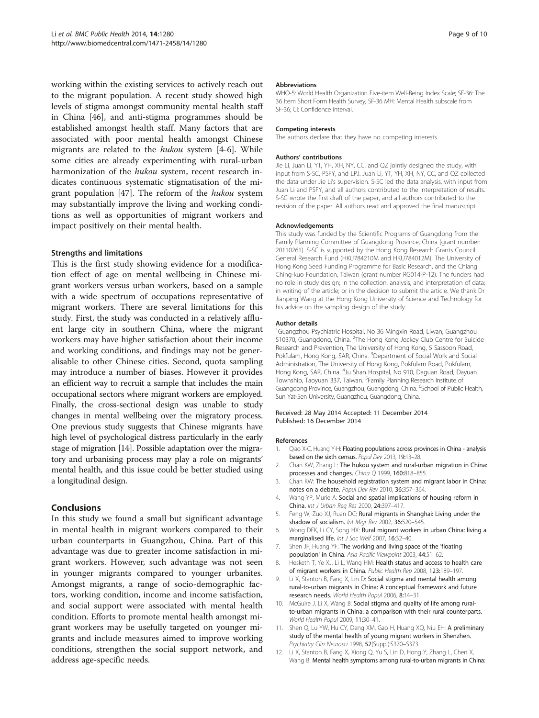<span id="page-8-0"></span>working within the existing services to actively reach out to the migrant population. A recent study showed high levels of stigma amongst community mental health staff in China [[46\]](#page-9-0), and anti-stigma programmes should be established amongst health staff. Many factors that are associated with poor mental health amongst Chinese migrants are related to the hukou system [4-6]. While some cities are already experimenting with rural-urban harmonization of the hukou system, recent research indicates continuous systematic stigmatisation of the migrant population [\[47](#page-9-0)]. The reform of the hukou system may substantially improve the living and working conditions as well as opportunities of migrant workers and impact positively on their mental health.

#### Strengths and limitations

This is the first study showing evidence for a modification effect of age on mental wellbeing in Chinese migrant workers versus urban workers, based on a sample with a wide spectrum of occupations representative of migrant workers. There are several limitations for this study. First, the study was conducted in a relatively affluent large city in southern China, where the migrant workers may have higher satisfaction about their income and working conditions, and findings may not be generalisable to other Chinese cities. Second, quota sampling may introduce a number of biases. However it provides an efficient way to recruit a sample that includes the main occupational sectors where migrant workers are employed. Finally, the cross-sectional design was unable to study changes in mental wellbeing over the migratory process. One previous study suggests that Chinese migrants have high level of psychological distress particularly in the early stage of migration [[14](#page-9-0)]. Possible adaptation over the migratory and urbanising process may play a role on migrants' mental health, and this issue could be better studied using a longitudinal design.

## Conclusions

In this study we found a small but significant advantage in mental health in migrant workers compared to their urban counterparts in Guangzhou, China. Part of this advantage was due to greater income satisfaction in migrant workers. However, such advantage was not seen in younger migrants compared to younger urbanites. Amongst migrants, a range of socio-demographic factors, working condition, income and income satisfaction, and social support were associated with mental health condition. Efforts to promote mental health amongst migrant workers may be usefully targeted on younger migrants and include measures aimed to improve working conditions, strengthen the social support network, and address age-specific needs.

#### Abbreviations

WHO-5: World Health Organization Five-item Well-Being Index Scale; SF-36: The 36 Item Short Form Health Survey; SF-36 MH: Mental Health subscale from SF-36; CI: Confidence interval.

#### Competing interests

The authors declare that they have no competing interests.

#### Authors' contributions

Jie Li, Juan Li, YT, YH, XH, NY, CC, and QZ jointly designed the study, with input from S-SC, PSFY, and LPJ. Juan Li, YT, YH, XH, NY, CC, and QZ collected the data under Jie Li's supervision. S-SC led the data analysis, with input from Juan Li and PSFY, and all authors contributed to the interpretation of results. S-SC wrote the first draft of the paper, and all authors contributed to the revision of the paper. All authors read and approved the final manuscript.

#### Acknowledgements

This study was funded by the Scientific Programs of Guangdong from the Family Planning Committee of Guangdong Province, China (grant number: 20110261). S-SC is supported by the Hong Kong Research Grants Council General Research Fund (HKU784210M and HKU784012M), The University of Hong Kong Seed Funding Programme for Basic Research, and the Chiang Ching-kuo Foundation, Taiwan (grant number RG014-P-12). The funders had no role in study design; in the collection, analysis, and interpretation of data; in writing of the article; or in the decision to submit the article. We thank Dr Jianping Wang at the Hong Kong University of Science and Technology for his advice on the sampling design of the study.

#### Author details

<sup>1</sup>Guangzhou Psychiatric Hospital, No 36 Mingxin Road, Liwan, Guangzhou 510370, Guangdong, China. <sup>2</sup>The Hong Kong Jockey Club Centre for Suicide Research and Prevention, The University of Hong Kong, 5 Sassoon Road, Pokfulam, Hong Kong, SAR, China. <sup>3</sup>Department of Social Work and Social Administration, The University of Hong Kong, Pokfulam Road, Pokfulam, Hong Kong, SAR, China. <sup>4</sup>Ju Shan Hospital, No 910, Daguan Road, Dayuan Township, Taoyuan 337, Taiwan. <sup>5</sup>Family Planning Research Institute of Guangdong Province, Guangzhou, Guangdong, China. <sup>6</sup>School of Public Health Sun Yat-Sen University, Guangzhou, Guangdong, China.

#### Received: 28 May 2014 Accepted: 11 December 2014 Published: 16 December 2014

#### References

- 1. Qiao X-C, Huang Y-H: Floating populations across provinces in China analysis based on the sixth census. Popul Dev 2013, 19:13–28.
- 2. Chan KW, Zhang L: The hukou system and rural-urban migration in China: processes and changes. China Q 1999, 160:818-855.
- 3. Chan KW: The household registration system and migrant labor in China: notes on a debate. Popul Dev Rev 2010, 36:357–364.
- 4. Wang YP, Murie A: Social and spatial implications of housing reform in China. Int J Urban Reg Res 2000, 24:397–417.
- 5. Feng W, Zuo XJ, Ruan DC: Rural migrants in Shanghai: Living under the shadow of socialism. Int Migr Rev 2002, 36:520–545.
- 6. Wong DFK, Li CY, Song HX: Rural migrant workers in urban China: living a marginalised life. Int J Soc Welf 2007, 16:32–40.
- 7. Shen JF, Huang YF: The working and living space of the 'floating population' in China. Asia Pacific Viewpoint 2003, 44:51–62.
- 8. Hesketh T, Ye XJ, Li L, Wang HM: Health status and access to health care of migrant workers in China. Public Health Rep 2008, 123:189–197.
- 9. Li X, Stanton B, Fang X, Lin D: Social stigma and mental health among rural-to-urban migrants in China: A conceptual framework and future research needs. World Health Popul 2006, 8:14–31.
- 10. McGuire J, Li X, Wang B: Social stigma and quality of life among ruralto-urban migrants in China: a comparison with their rural counterparts. World Health Popul 2009, 11:30–41.
- 11. Shen Q, Lu YW, Hu CY, Deng XM, Gao H, Huang XQ, Niu EH: A preliminary study of the mental health of young migrant workers in Shenzhen. Psychiatry Clin Neurosci 1998, 52(Suppl):S370–S373.
- 12. Li X, Stanton B, Fang X, Xiong Q, Yu S, Lin D, Hong Y, Zhang L, Chen X, Wang B: Mental health symptoms among rural-to-urban migrants in China: